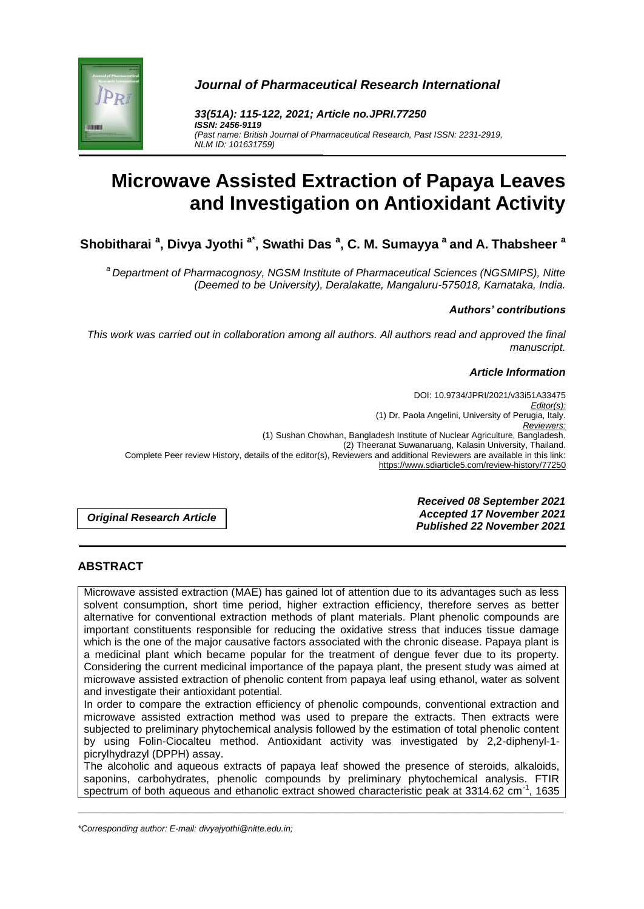

*Journal of Pharmaceutical Research International*

*33(51A): 115-122, 2021; Article no.JPRI.77250 ISSN: 2456-9119 (Past name: British Journal of Pharmaceutical Research, Past ISSN: 2231-2919, NLM ID: 101631759)*

# **Microwave Assisted Extraction of Papaya Leaves and Investigation on Antioxidant Activity**

**Shobitharai <sup>a</sup> , Divya Jyothi a\*, Swathi Das <sup>a</sup> , C. M. Sumayya <sup>a</sup> and A. Thabsheer <sup>a</sup>**

*<sup>a</sup>Department of Pharmacognosy, NGSM Institute of Pharmaceutical Sciences (NGSMIPS), Nitte (Deemed to be University), Deralakatte, Mangaluru-575018, Karnataka, India.*

## *Authors' contributions*

*This work was carried out in collaboration among all authors. All authors read and approved the final manuscript.*

#### *Article Information*

DOI: 10.9734/JPRI/2021/v33i51A33475 *Editor(s):* (1) Dr. Paola Angelini, University of Perugia, Italy. *Reviewers:* (1) Sushan Chowhan, Bangladesh Institute of Nuclear Agriculture, Bangladesh. (2) Theeranat Suwanaruang, Kalasin University, Thailand. Complete Peer review History, details of the editor(s), Reviewers and additional Reviewers are available in this link: https://www.sdiarticle5.com/review-history/77250

*Original Research Article*

*Received 08 September 2021 Accepted 17 November 2021 Published 22 November 2021*

# **ABSTRACT**

Microwave assisted extraction (MAE) has gained lot of attention due to its advantages such as less solvent consumption, short time period, higher extraction efficiency, therefore serves as better alternative for conventional extraction methods of plant materials. Plant phenolic compounds are important constituents responsible for reducing the oxidative stress that induces tissue damage which is the one of the major causative factors associated with the chronic disease. Papaya plant is a medicinal plant which became popular for the treatment of dengue fever due to its property. Considering the current medicinal importance of the papaya plant, the present study was aimed at microwave assisted extraction of phenolic content from papaya leaf using ethanol, water as solvent and investigate their antioxidant potential.

In order to compare the extraction efficiency of phenolic compounds, conventional extraction and microwave assisted extraction method was used to prepare the extracts. Then extracts were subjected to preliminary phytochemical analysis followed by the estimation of total phenolic content by using Folin-Ciocalteu method. Antioxidant activity was investigated by 2,2-diphenyl-1 picrylhydrazyl (DPPH) assay.

The alcoholic and aqueous extracts of papaya leaf showed the presence of steroids, alkaloids, saponins, carbohydrates, phenolic compounds by preliminary phytochemical analysis. FTIR spectrum of both aqueous and ethanolic extract showed characteristic peak at 3314.62 cm<sup>-1</sup>, 1635

\_\_\_\_\_\_\_\_\_\_\_\_\_\_\_\_\_\_\_\_\_\_\_\_\_\_\_\_\_\_\_\_\_\_\_\_\_\_\_\_\_\_\_\_\_\_\_\_\_\_\_\_\_\_\_\_\_\_\_\_\_\_\_\_\_\_\_\_\_\_\_\_\_\_\_\_\_\_\_\_\_\_\_\_\_\_\_\_\_\_\_\_\_\_\_\_\_\_\_\_\_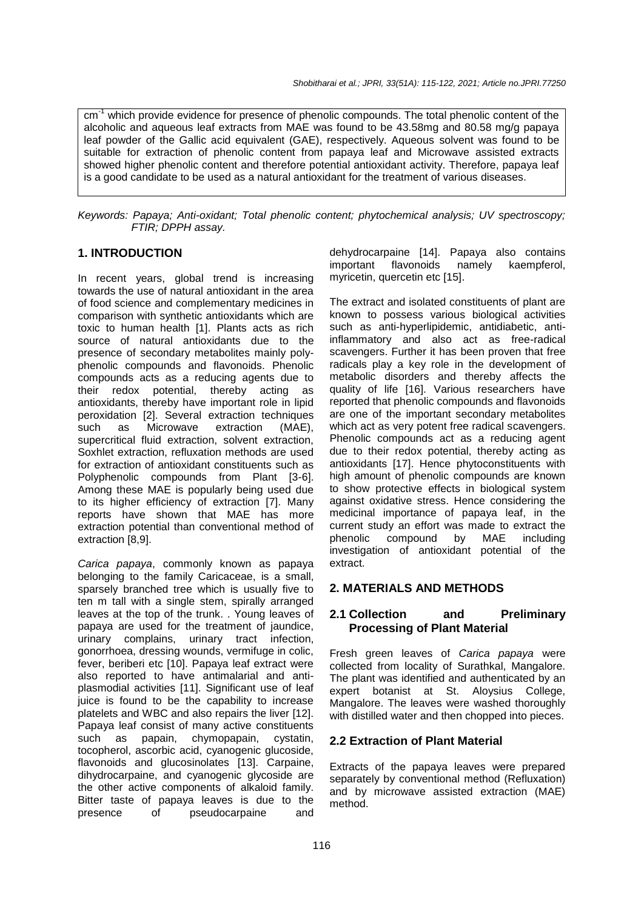cm<sup>-1</sup> which provide evidence for presence of phenolic compounds. The total phenolic content of the alcoholic and aqueous leaf extracts from MAE was found to be 43.58mg and 80.58 mg/g papaya leaf powder of the Gallic acid equivalent (GAE), respectively. Aqueous solvent was found to be suitable for extraction of phenolic content from papaya leaf and Microwave assisted extracts showed higher phenolic content and therefore potential antioxidant activity. Therefore, papaya leaf is a good candidate to be used as a natural antioxidant for the treatment of various diseases.

*Keywords: Papaya; Anti-oxidant; Total phenolic content; phytochemical analysis; UV spectroscopy; FTIR; DPPH assay.*

# **1. INTRODUCTION**

In recent years, global trend is increasing towards the use of natural antioxidant in the area of food science and complementary medicines in comparison with synthetic antioxidants which are toxic to human health [1]. Plants acts as rich source of natural antioxidants due to the presence of secondary metabolites mainly polyphenolic compounds and flavonoids. Phenolic compounds acts as a reducing agents due to their redox potential, thereby acting as antioxidants, thereby have important role in lipid peroxidation [2]. Several extraction techniques such as Microwave extraction (MAE), supercritical fluid extraction, solvent extraction, Soxhlet extraction, refluxation methods are used for extraction of antioxidant constituents such as Polyphenolic compounds from Plant [3-6]. Among these MAE is popularly being used due to its higher efficiency of extraction [7]. Many reports have shown that MAE has more extraction potential than conventional method of extraction [8,9].

*Carica papaya*, commonly known as papaya belonging to the family Caricaceae, is a small, sparsely branched tree which is usually five to ten m tall with a single stem, spirally arranged leaves at the top of the trunk. . Young leaves of papaya are used for the treatment of jaundice, urinary complains, urinary tract infection, gonorrhoea, dressing wounds, vermifuge in colic, fever, beriberi etc [10]. Papaya leaf extract were also reported to have antimalarial and antiplasmodial activities [11]. Significant use of leaf juice is found to be the capability to increase platelets and WBC and also repairs the liver [12]. Papaya leaf consist of many active constituents such as papain, chymopapain, cystatin, tocopherol, ascorbic acid, cyanogenic glucoside, flavonoids and glucosinolates [13]. Carpaine, dihydrocarpaine, and cyanogenic glycoside are the other active components of alkaloid family. Bitter taste of papaya leaves is due to the presence of pseudocarpaine and

dehydrocarpaine [14]. Papaya also contains<br>important flavonoids namely kaempferol, important flavonoids namely kaempferol, myricetin, quercetin etc [15].

The extract and isolated constituents of plant are known to possess various biological activities such as anti-hyperlipidemic, antidiabetic, antiinflammatory and also act as free-radical scavengers. Further it has been proven that free radicals play a key role in the development of metabolic disorders and thereby affects the quality of life [16]. Various researchers have reported that phenolic compounds and flavonoids are one of the important secondary metabolites which act as very potent free radical scavengers. Phenolic compounds act as a reducing agent due to their redox potential, thereby acting as antioxidants [17]. Hence phytoconstituents with high amount of phenolic compounds are known to show protective effects in biological system against oxidative stress. Hence considering the medicinal importance of papaya leaf, in the current study an effort was made to extract the phenolic compound by MAE including investigation of antioxidant potential of the extract.

## **2. MATERIALS AND METHODS**

# **2.1 Collection and Preliminary Processing of Plant Material**

Fresh green leaves of *Carica papaya* were collected from locality of Surathkal, Mangalore. The plant was identified and authenticated by an expert botanist at St. Aloysius College, Mangalore. The leaves were washed thoroughly with distilled water and then chopped into pieces.

## **2.2 Extraction of Plant Material**

Extracts of the papaya leaves were prepared separately by conventional method (Refluxation) and by microwave assisted extraction (MAE) method.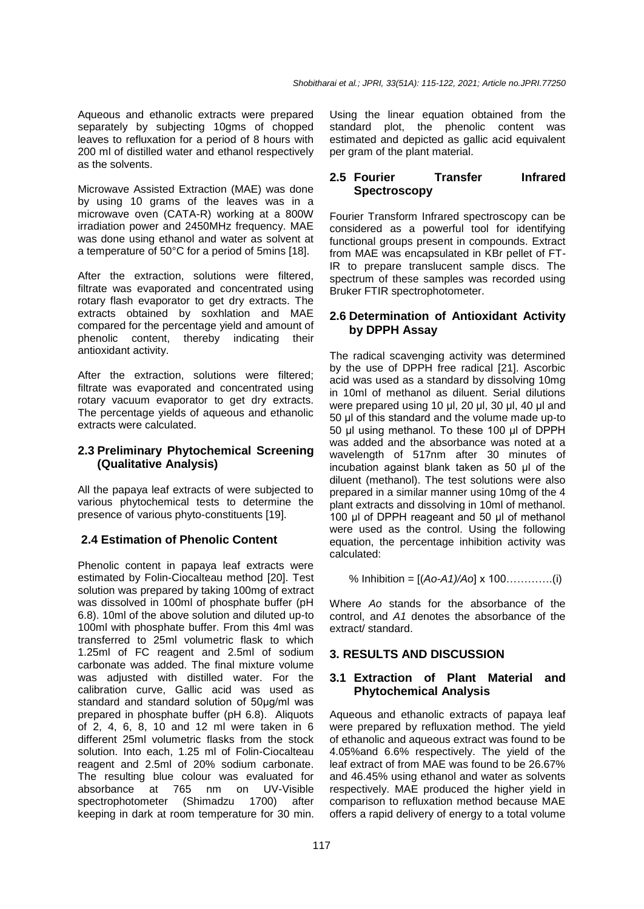Aqueous and ethanolic extracts were prepared separately by subjecting 10gms of chopped leaves to refluxation for a period of 8 hours with 200 ml of distilled water and ethanol respectively as the solvents.

Microwave Assisted Extraction (MAE) was done by using 10 grams of the leaves was in a microwave oven (CATA-R) working at a 800W irradiation power and 2450MHz frequency. MAE was done using ethanol and water as solvent at a temperature of 50°C for a period of 5mins [18].

After the extraction, solutions were filtered, filtrate was evaporated and concentrated using rotary flash evaporator to get dry extracts. The extracts obtained by soxhlation and MAE compared for the percentage yield and amount of phenolic content, thereby indicating their antioxidant activity.

After the extraction, solutions were filtered; filtrate was evaporated and concentrated using rotary vacuum evaporator to get dry extracts. The percentage yields of aqueous and ethanolic extracts were calculated.

## **2.3 Preliminary Phytochemical Screening (Qualitative Analysis)**

All the papaya leaf extracts of were subjected to various phytochemical tests to determine the presence of various phyto-constituents [19].

# **2.4 Estimation of Phenolic Content**

Phenolic content in papaya leaf extracts were estimated by Folin-Ciocalteau method [20]. Test solution was prepared by taking 100mg of extract was dissolved in 100ml of phosphate buffer (pH 6.8). 10ml of the above solution and diluted up-to 100ml with phosphate buffer. From this 4ml was transferred to 25ml volumetric flask to which 1.25ml of FC reagent and 2.5ml of sodium carbonate was added. The final mixture volume was adjusted with distilled water. For the calibration curve, Gallic acid was used as standard and standard solution of 50μg/ml was prepared in phosphate buffer (pH 6.8). Aliquots of 2, 4, 6, 8, 10 and 12 ml were taken in 6 different 25ml volumetric flasks from the stock solution. Into each, 1.25 ml of Folin-Ciocalteau reagent and 2.5ml of 20% sodium carbonate. The resulting blue colour was evaluated for<br>absorbance at 765 nm on UV-Visible absorbance at 765 nm on spectrophotometer (Shimadzu 1700) after keeping in dark at room temperature for 30 min.

Using the linear equation obtained from the standard plot, the phenolic content was estimated and depicted as gallic acid equivalent per gram of the plant material.

# **2.5 Fourier Transfer Infrared Spectroscopy**

Fourier Transform Infrared spectroscopy can be considered as a powerful tool for identifying functional groups present in compounds. Extract from MAE was encapsulated in KBr pellet of FT-IR to prepare translucent sample discs. The spectrum of these samples was recorded using Bruker FTIR spectrophotometer.

## **2.6 Determination of Antioxidant Activity by DPPH Assay**

The radical scavenging activity was determined by the use of DPPH free radical [21]. Ascorbic acid was used as a standard by dissolving 10mg in 10ml of methanol as diluent. Serial dilutions were prepared using 10 μl, 20 μl, 30 μl, 40 μl and 50 μl of this standard and the volume made up-to 50 μl using methanol. To these 100 μl of DPPH was added and the absorbance was noted at a wavelength of 517nm after 30 minutes of incubation against blank taken as 50 μl of the diluent (methanol). The test solutions were also prepared in a similar manner using 10mg of the 4 plant extracts and dissolving in 10ml of methanol. 100 μl of DPPH reageant and 50 μl of methanol were used as the control. Using the following equation, the percentage inhibition activity was calculated:

% Inhibition = [(*Ao-A1)/Ao*] x 100………….(i)

Where *Ao* stands for the absorbance of the control, and *A1* denotes the absorbance of the extract/ standard.

## **3. RESULTS AND DISCUSSION**

#### **3.1 Extraction of Plant Material and Phytochemical Analysis**

Aqueous and ethanolic extracts of papaya leaf were prepared by refluxation method. The yield of ethanolic and aqueous extract was found to be 4.05%and 6.6% respectively. The yield of the leaf extract of from MAE was found to be 26.67% and 46.45% using ethanol and water as solvents respectively. MAE produced the higher yield in comparison to refluxation method because MAE offers a rapid delivery of energy to a total volume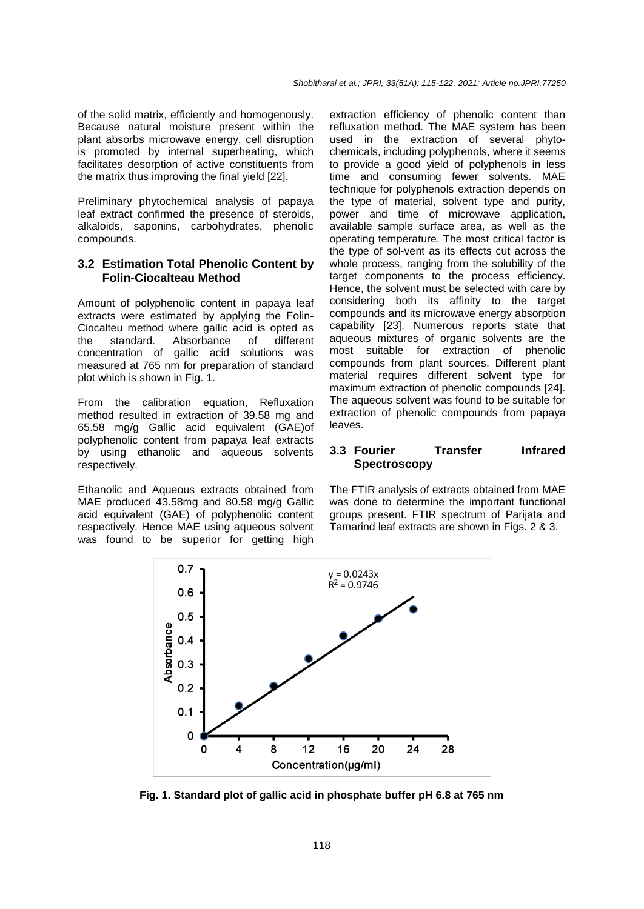of the solid matrix, efficiently and homogenously. Because natural moisture present within the plant absorbs microwave energy, cell disruption is promoted by internal superheating, which facilitates desorption of active constituents from the matrix thus improving the final yield [22].

Preliminary phytochemical analysis of papaya leaf extract confirmed the presence of steroids, alkaloids, saponins, carbohydrates, phenolic compounds.

#### **3.2 Estimation Total Phenolic Content by Folin-Ciocalteau Method**

Amount of polyphenolic content in papaya leaf extracts were estimated by applying the Folin-Ciocalteu method where gallic acid is opted as<br>the standard. Absorbance of different the standard. Absorbance of different concentration of gallic acid solutions was measured at 765 nm for preparation of standard plot which is shown in Fig. 1.

From the calibration equation, Refluxation method resulted in extraction of 39.58 mg and 65.58 mg/g Gallic acid equivalent (GAE)of polyphenolic content from papaya leaf extracts by using ethanolic and aqueous solvents respectively.

Ethanolic and Aqueous extracts obtained from MAE produced 43.58mg and 80.58 mg/g Gallic acid equivalent (GAE) of polyphenolic content respectively. Hence MAE using aqueous solvent was found to be superior for getting high

extraction efficiency of phenolic content than refluxation method. The MAE system has been used in the extraction of several phytochemicals, including polyphenols, where it seems to provide a good yield of polyphenols in less time and consuming fewer solvents. MAE technique for polyphenols extraction depends on the type of material, solvent type and purity, power and time of microwave application, available sample surface area, as well as the operating temperature. The most critical factor is the type of sol-vent as its effects cut across the whole process, ranging from the solubility of the target components to the process efficiency. Hence, the solvent must be selected with care by considering both its affinity to the target compounds and its microwave energy absorption capability [23]. Numerous reports state that aqueous mixtures of organic solvents are the most suitable for extraction of phenolic compounds from plant sources. Different plant material requires different solvent type for maximum extraction of phenolic compounds [24]. The aqueous solvent was found to be suitable for extraction of phenolic compounds from papaya leaves.

#### **3.3 Fourier Transfer Infrared Spectroscopy**

The FTIR analysis of extracts obtained from MAE was done to determine the important functional groups present. FTIR spectrum of Parijata and Tamarind leaf extracts are shown in Figs. 2 & 3.



**Fig. 1. Standard plot of gallic acid in phosphate buffer pH 6.8 at 765 nm**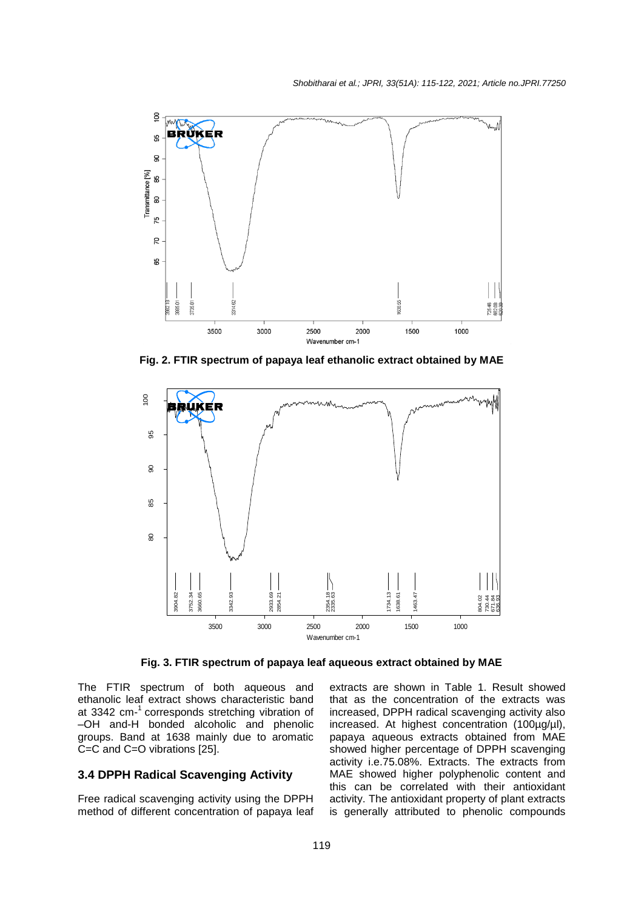

**Fig. 2. FTIR spectrum of papaya leaf ethanolic extract obtained by MAE**



The FTIR spectrum of both aqueous and ethanolic leaf extract shows characteristic band at 3342 cm-<sup>1</sup> corresponds stretching vibration of –OH and-H bonded alcoholic and phenolic groups. Band at 1638 mainly due to aromatic C=C and C=O vibrations [25].

# **3.4 DPPH Radical Scavenging Activity**

Free radical scavenging activity using the DPPH method of different concentration of papaya leaf

extracts are shown in Table 1. Result showed that as the concentration of the extracts was increased, DPPH radical scavenging activity also increased. At highest concentration (100µg/µl), papaya aqueous extracts obtained from MAE showed higher percentage of DPPH scavenging activity i.e.75.08%. Extracts. The extracts from MAE showed higher polyphenolic content and this can be correlated with their antioxidant activity. The antioxidant property of plant extracts is generally attributed to phenolic compounds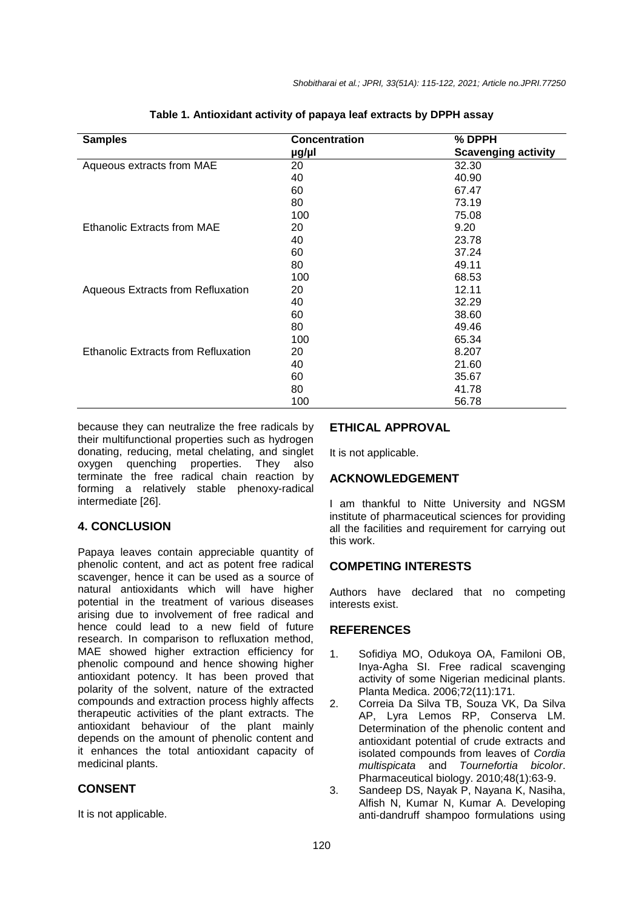| <b>Samples</b>                             | <b>Concentration</b> | % DPPH                     |
|--------------------------------------------|----------------------|----------------------------|
|                                            | µg/µl                | <b>Scavenging activity</b> |
| Aqueous extracts from MAE                  | 20                   | 32.30                      |
|                                            | 40                   | 40.90                      |
|                                            | 60                   | 67.47                      |
|                                            | 80                   | 73.19                      |
|                                            | 100                  | 75.08                      |
| Ethanolic Extracts from MAE                | 20                   | 9.20                       |
|                                            | 40                   | 23.78                      |
|                                            | 60                   | 37.24                      |
|                                            | 80                   | 49.11                      |
|                                            | 100                  | 68.53                      |
| <b>Aqueous Extracts from Refluxation</b>   | 20                   | 12.11                      |
|                                            | 40                   | 32.29                      |
|                                            | 60                   | 38.60                      |
|                                            | 80                   | 49.46                      |
|                                            | 100                  | 65.34                      |
| <b>Ethanolic Extracts from Refluxation</b> | 20                   | 8.207                      |
|                                            | 40                   | 21.60                      |
|                                            | 60                   | 35.67                      |
|                                            | 80                   | 41.78                      |
|                                            | 100                  | 56.78                      |

**Table 1. Antioxidant activity of papaya leaf extracts by DPPH assay**

because they can neutralize the free radicals by their multifunctional properties such as hydrogen donating, reducing, metal chelating, and singlet oxygen quenching properties. They also terminate the free radical chain reaction by forming a relatively stable phenoxy-radical intermediate [26].

## **4. CONCLUSION**

Papaya leaves contain appreciable quantity of phenolic content, and act as potent free radical scavenger, hence it can be used as a source of natural antioxidants which will have higher potential in the treatment of various diseases arising due to involvement of free radical and hence could lead to a new field of future research. In comparison to refluxation method, MAE showed higher extraction efficiency for phenolic compound and hence showing higher antioxidant potency. It has been proved that polarity of the solvent, nature of the extracted compounds and extraction process highly affects therapeutic activities of the plant extracts. The antioxidant behaviour of the plant mainly depends on the amount of phenolic content and it enhances the total antioxidant capacity of medicinal plants.

# **CONSENT**

It is not applicable.

#### **ETHICAL APPROVAL**

It is not applicable.

## **ACKNOWLEDGEMENT**

I am thankful to Nitte University and NGSM institute of pharmaceutical sciences for providing all the facilities and requirement for carrying out this work.

## **COMPETING INTERESTS**

Authors have declared that no competing interests exist.

#### **REFERENCES**

- 1. Sofidiya MO, Odukoya OA, Familoni OB, Inya-Agha SI. Free radical scavenging activity of some Nigerian medicinal plants. Planta Medica. 2006;72(11):171.
- 2. Correia Da Silva TB, Souza VK, Da Silva AP, Lyra Lemos RP, Conserva LM. Determination of the phenolic content and antioxidant potential of crude extracts and isolated compounds from leaves of *Cordia multispicata* and *Tournefortia bicolor*. Pharmaceutical biology. 2010;48(1):63-9.
- 3. Sandeep DS, Nayak P, Nayana K, Nasiha, Alfish N, Kumar N, Kumar A. Developing anti-dandruff shampoo formulations using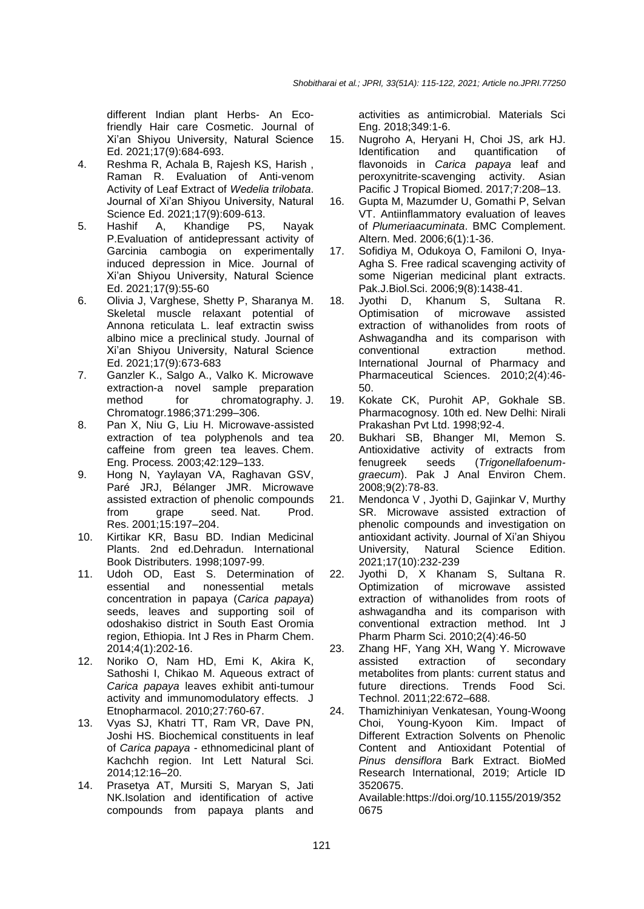different Indian plant Herbs- An Ecofriendly Hair care Cosmetic. Journal of Xi'an Shiyou University, Natural Science Ed. 2021;17(9):684-693.

- 4. Reshma R, Achala B, Rajesh KS, Harish , Raman R. Evaluation of Anti-venom Activity of Leaf Extract of *Wedelia trilobata*. Journal of Xi'an Shiyou University, Natural Science Ed. 2021;17(9):609-613.
- 5. Hashif A, Khandige PS, Nayak P.Evaluation of antidepressant activity of Garcinia cambogia on experimentally induced depression in Mice. Journal of Xi'an Shiyou University, Natural Science Ed. 2021;17(9):55-60
- 6. Olivia J, Varghese, Shetty P, Sharanya M. Skeletal muscle relaxant potential of Annona reticulata L. leaf extractin swiss albino mice a preclinical study. Journal of Xi'an Shiyou University, Natural Science Ed. 2021;17(9):673-683
- 7. Ganzler K., Salgo A., Valko K. Microwave extraction-a novel sample preparation method for chromatography. J. Chromatogr*.*1986;371:299–306.
- 8. Pan X, Niu G, Liu H. Microwave-assisted extraction of tea polyphenols and tea caffeine from green tea leaves. Chem. Eng. Process*.* 2003;42:129–133.
- 9. Hong N, Yaylayan VA, Raghavan GSV, Paré JRJ, Bélanger JMR. Microwave assisted extraction of phenolic compounds from grape seed. Nat. Prod. Res. 2001;15:197–204.
- 10. Kirtikar KR, Basu BD. Indian Medicinal Plants. 2nd ed.Dehradun. International Book Distributers. 1998;1097-99.
- 11. Udoh OD, East S. Determination of essential and nonessential metals concentration in papaya (*Carica papaya*) seeds, leaves and supporting soil of odoshakiso district in South East Oromia region, Ethiopia. Int J Res in Pharm Chem. 2014;4(1):202-16.
- 12. Noriko O, Nam HD, Emi K, Akira K, Sathoshi I, Chikao M. Aqueous extract of *Carica papaya* leaves exhibit anti-tumour activity and immunomodulatory effects. J Etnopharmacol. 2010;27:760-67.
- 13. Vyas SJ, Khatri TT, Ram VR, Dave PN, Joshi HS. Biochemical constituents in leaf of *Carica papaya* - ethnomedicinal plant of Kachchh region. Int Lett Natural Sci. 2014;12:16–20.
- 14. Prasetya AT, Mursiti S, Maryan S, Jati NK.Isolation and identification of active compounds from papaya plants and

activities as antimicrobial. Materials Sci Eng. 2018;349:1-6.

- 15. Nugroho A, Heryani H, Choi JS, ark HJ. Identification and quantification of flavonoids in *Carica papaya* leaf and peroxynitrite-scavenging activity. Asian Pacific J Tropical Biomed. 2017;7:208–13.
- 16. Gupta M, Mazumder U, Gomathi P, Selvan VT. Antiinflammatory evaluation of leaves of *Plumeriaacuminata*. BMC Complement. Altern. Med. 2006;6(1):1-36.
- 17. Sofidiya M, Odukoya O, Familoni O, Inya-Agha S. Free radical scavenging activity of some Nigerian medicinal plant extracts. Pak.J.Biol.Sci. 2006;9(8):1438-41.
- 18. Jyothi D, Khanum S, Sultana R. Optimisation of microwave assisted extraction of withanolides from roots of Ashwagandha and its comparison with conventional extraction method. International Journal of Pharmacy and Pharmaceutical Sciences. 2010;2(4):46- 50.
- 19. Kokate CK, Purohit AP, Gokhale SB. Pharmacognosy. 10th ed. New Delhi: Nirali Prakashan Pvt Ltd. 1998;92-4.
- 20. Bukhari SB, Bhanger MI, Memon S. Antioxidative activity of extracts from fenugreek seeds (*Trigonellafoenumgraecum*). Pak J Anal Environ Chem. 2008;9(2):78-83.
- 21. Mendonca V , Jyothi D, Gajinkar V, Murthy SR. Microwave assisted extraction of phenolic compounds and investigation on antioxidant activity. Journal of Xi'an Shiyou University, Natural Science Edition. 2021;17(10):232-239
- 22. Jyothi D, X Khanam S, Sultana R. Optimization of microwave assisted extraction of withanolides from roots of ashwagandha and its comparison with conventional extraction method. Int J Pharm Pharm Sci. 2010;2(4):46-50
- 23. Zhang HF, Yang XH, Wang Y. Microwave assisted extraction of secondary metabolites from plants: current status and future directions. Trends Food Sci. Technol. 2011;22:672–688.
- 24. Thamizhiniyan Venkatesan, Young-Woong Choi, Young-Kyoon Kim. Impact of Different Extraction Solvents on Phenolic Content and Antioxidant Potential of *Pinus densiflora* Bark Extract. BioMed Research International, 2019; Article ID 3520675.

Available[:https://doi.org/10.1155/2019/352](https://doi.org/10.1155/2019/3520675) [0675](https://doi.org/10.1155/2019/3520675)